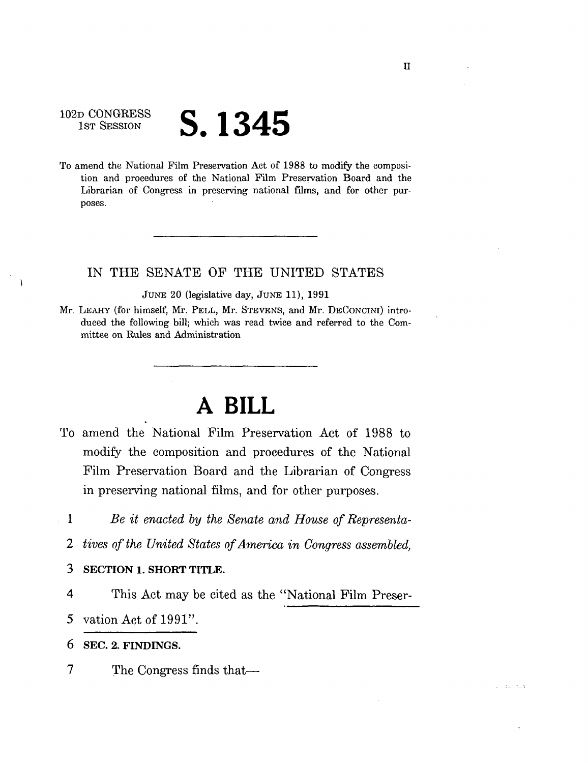# 102D CONGRESS<br>1st Session

 $\lambda$ 

# **S.** 1345

To amend the National Film Preservation Act of 1988 to modify the composition and procedures of the National Film Preservation Board and the Librarian of Congress in preserving national films, and for other purposes.

### IN THE SENATE OF THE UNITED STATES

JUNE 20 (legislative day, JUNE 11), 1991

Mr. LEAHY (for himself, Mr. PELL, Mr. STEVENS, and Mr. DECONCINI) introduced the following bill; which was read twice and referred to the Committee on Rules and Administration

## **A BILL**

- To amend the National Film Preservation Act of 1988 to modify the composition and procedures of the National Film Preservation Board and the Librarian of Congress in preserving national films, and for other purposes.
- 1 *Be it enacted by the Senate and House of Representa-*
	- *2 tives of the United States of America in Congress assembled,*
	- 3 SECTION 1. SHORT TITLE.
	- 4 This Act may be cited as the "National Film Preser-

5 vation Act of 1991".

6 SEC. 2. FINDINGS.

7 The Congress finds that—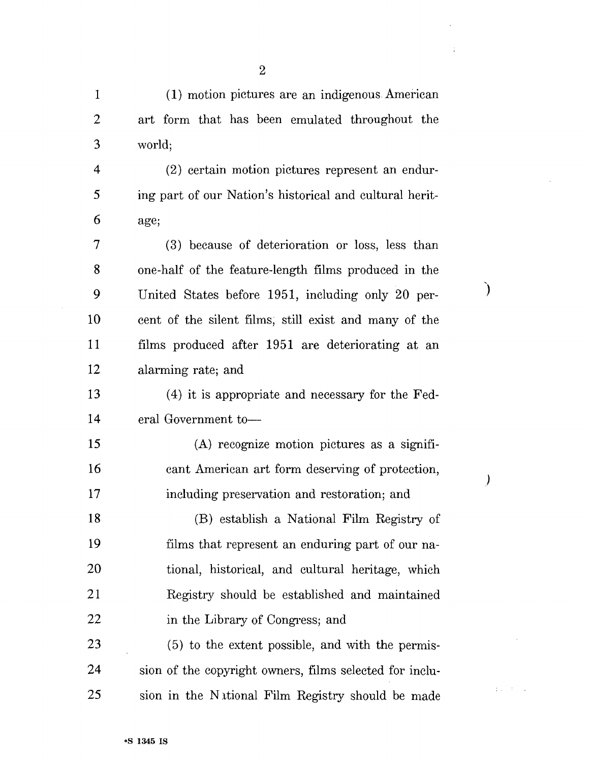1 (1) motion pictures are an indigenous American 2 art form that has been emulated throughout the 3 world;

4 (2) certain motion pictures represent an endur-5 ing part of our Nation's historical and cultural herit-6 age;

7 (3) because of deterioration or loss, less than 8 one-half of the feature-length films produced in the 9 United States before 1951, including only 20 per-10 cent of the silent films, still exist and many of the 11 films produced after 1951 are deteriorating at an 12 alarming rate; and

 $\mathcal{Y}$ 

 $\mathcal{C}$ 

 $\mathbb{E}[\mathbb{E}^{\mathbb{E}} \times \mathbb{E}^{\mathbb{E}}] \rightarrow \mathbb{E}$ 

13 (4) it is appropriate and necessary for the Fed-14 eral Government to—

15 (A) recognize motion pictures as a signifi-16 cant American art form deserving of protection, 17 including preservation and restoration; and 18 (B) establish a National Film Registry of 19 films that represent an enduring part of our na-20 tional, historical, and cultural heritage, which 21 Registry should be established and maintained 22 in the Library of Congress; and

23 (5) to the extent possible, and with the permis-24 sion of the copyright owners, films selected for inclu-25 sion in the National Film Registry should be made

2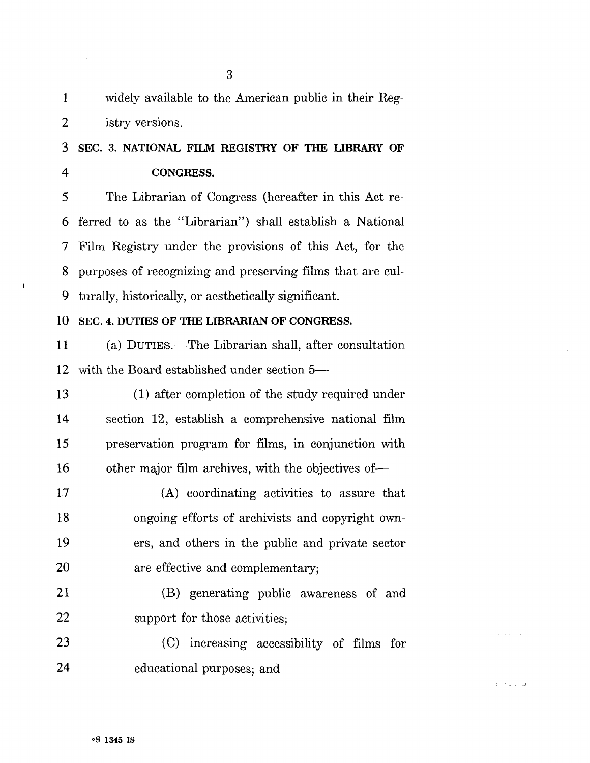1 widely available to the American public in their Reg-2 istry versions.

3 SEC. 3. NATIONAL FILM REGISTRY OF THE LIBRARY OF 4 CONGRESS.

5 The Librarian of Congress (hereafter in this Act re-6 ferred to as the "Librarian") shall establish a National 7 Film Registry under the provisions of this Act, for the 8 purposes of recognizing and preserving films that are cul-9 turally, historically, or aesthetically significant.

### 10 SEC. 4. DUTIES OF THE LIBRARIAN OF CONGRESS.

11 (a) DUTIES.—The Librarian shall, after consultation 12 with the Board established under section 5—

13 (1) after completion of the study required under 14 section 12, establish a comprehensive national film 15 preservation program for films, in conjunction with 16 other major film archives, with the objectives of—

17 (A) coordinating activities to assure that 18 ongoing efforts of archivists and copyright own-19 ers, and others in the public and private sector 20 are effective and complementary;

21 (B) generating public awareness of and 22 support for those activities;

23 (C) increasing accessibility of films for 24 educational purposes; and

 $\mathbb{CP}(\mathbb{Z}^d)$  . The  $\mathbb{CP}^d$ 

 $\mathbf{I}$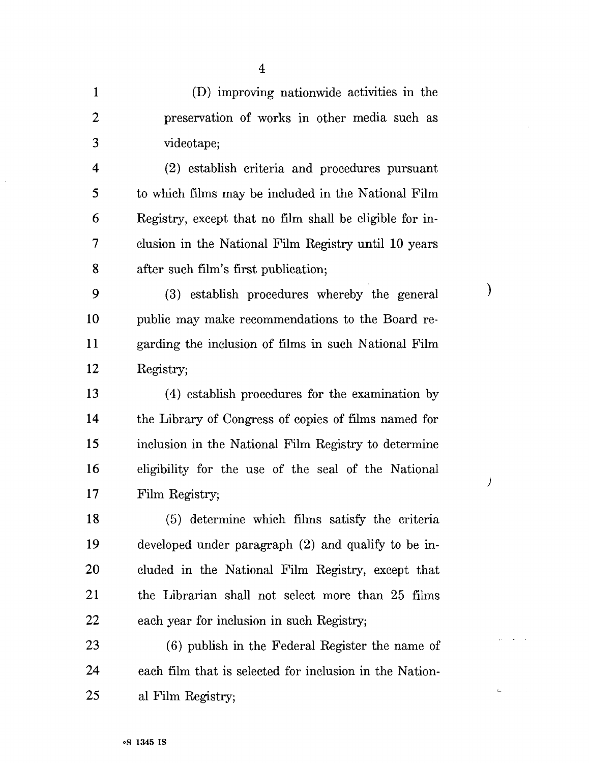| $\mathbf{1}$            | (D) improving nationwide activities in the              |               |
|-------------------------|---------------------------------------------------------|---------------|
| $\overline{2}$          | preservation of works in other media such as            |               |
| 3                       | videotape;                                              |               |
| $\overline{\mathbf{4}}$ | (2) establish criteria and procedures pursuant          |               |
| 5                       | to which films may be included in the National Film     |               |
| 6                       | Registry, except that no film shall be eligible for in- |               |
| 7                       | clusion in the National Film Registry until 10 years    |               |
| 8                       | after such film's first publication;                    |               |
| 9                       | (3) establish procedures whereby the general            | $\mathcal{E}$ |
| 10                      | public may make recommendations to the Board re-        |               |
| 11                      | garding the inclusion of films in such National Film    |               |
| 12                      | Registry;                                               |               |
| 13                      | (4) establish procedures for the examination by         |               |
| 14                      | the Library of Congress of copies of films named for    |               |
| 15                      | inclusion in the National Film Registry to determine    |               |
| 16                      | eligibility for the use of the seal of the National     | )             |
| 17                      | Film Registry;                                          |               |
| 18                      | (5) determine which films satisfy the criteria          |               |
| 19                      | developed under paragraph (2) and qualify to be in-     |               |
| 20                      | cluded in the National Film Registry, except that       |               |
| 21                      | the Librarian shall not select more than 25 films       |               |
| 22                      | each year for inclusion in such Registry;               |               |
| 23                      | (6) publish in the Federal Register the name of         |               |
| 24                      | each film that is selected for inclusion in the Nation- |               |
| 25                      | al Film Registry;                                       |               |

 $\sim$ 

 $\sim$   $\pm$ 

 $\bar{z}$  .  $\omega$ 

 $\bar{L}$ 

4

 $\bar{\mathcal{A}}$ 

 $\ddot{\phantom{0}}$ 

 $\hat{\boldsymbol{\beta}}$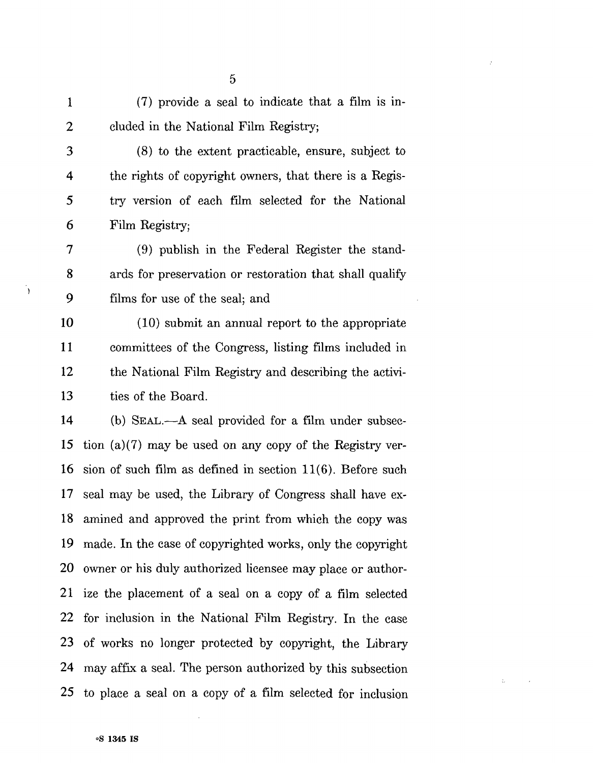| (7) provide a seal to indicate that a film is in- |
|---------------------------------------------------|
| cluded in the National Film Registry;             |

3 (8) to the extent practicable, ensure, subject to 4 the rights of copyright owners, that there is a Regis-5 try version of each film selected for the National 6 Film Registry;

7 (9) publish in the Federal Register the stand-8 ards for preservation or restoration that shall qualify 9 films for use of the seal; and

10 (10) submit an annual report to the appropriate 11 committees of the Congress, listing films included in 12 the National Film Registry and describing the activi-13 ties of the Board.

14 (b) SEAL.—A seal provided for a film under subsec-15 tion (a)(7) may be used on any copy of the Registry ver-16 sion of such film as defined in section 11(6). Before such 17 seal may be used, the Library of Congress shall have ex-18 amined and approved the print from which the copy was 19 made. In the case of copyrighted works, only the copyright 20 owner or his duly authorized licensee may place or author-21 ize the placement of a seal on a copy of a film selected 22 for inclusion in the National Film Registry. In the case 23 of works no longer protected by copyright, the Library 24 may affix a seal. The person authorized by this subsection 25 to place a seal on a copy of a film selected for inclusion

 $\ddot{\cdot}$ 

 $\mathcal{L}$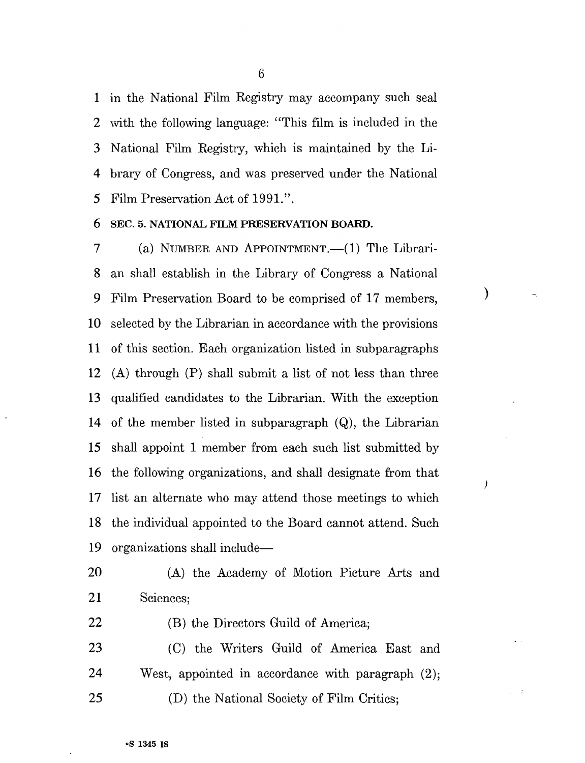1 in the National Film Registry may accompany such seal 2 with the following language: "This film is included in the 3 National Film Registry, which is maintained by the Li-4 brary of Congress, and was preserved under the National 5 Film Preservation Act of 1991.".

### 6 SEC. 5. NATIONAL FILM PRESERVATION BOARD.

7 (a) NUMBER AND APPOINTMENT.—(1) The Librari-8 an shall establish in the Library of Congress a National 9 Film Preservation Board to be comprised of 17 members, 10 selected by the Librarian in accordance with the provisions 11 of this section. Bach organization listed in subparagraphs 12 (A) through (P) shall submit a list of not less than three 13 qualified candidates to the Librarian. With the exception 14 of the member listed in subparagraph (Q), the Librarian 15 shall appoint 1 member from each such list submitted by 16 the following organizations, and shall designate from that 17 list an alternate who may attend those meetings to which 18 the individual appointed to the Board cannot attend. Such 19 organizations shall include—

 $\mathcal{E}$ 

 $\lambda$ 

20 (A) the Academy of Motion Picture Arts and 21 Sciences;

22 (B) the Directors Guild of America;

23 (C) the Writers Guild of America East and 24 West, appointed in accordance with paragraph (2); 25 (D) the National Society of Film Critics;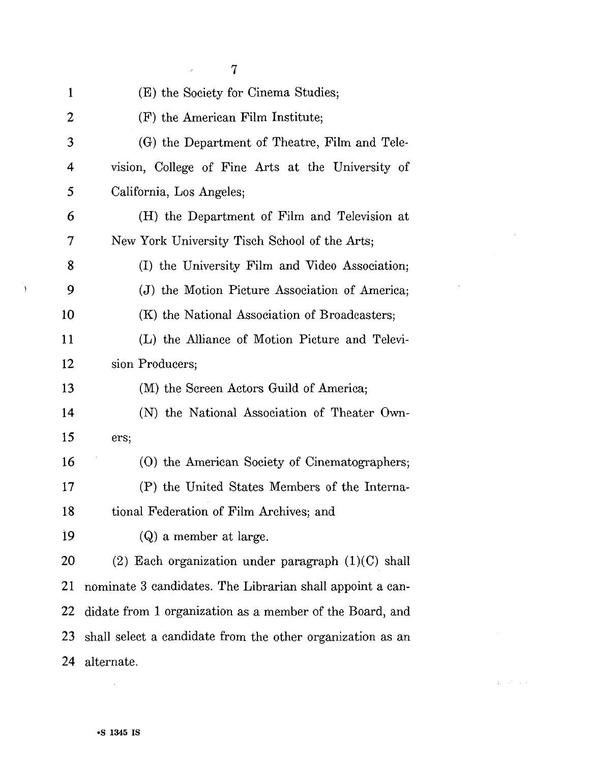|    | 7                                                          |
|----|------------------------------------------------------------|
| 1  | (E) the Society for Cinema Studies;                        |
| 2  | (F) the American Film Institute;                           |
| 3  | (G) the Department of Theatre, Film and Tele-              |
| 4  | vision, College of Fine Arts at the University of          |
| 5  | California, Los Angeles;                                   |
| 6  | (H) the Department of Film and Television at               |
| 7  | New York University Tisch School of the Arts;              |
| 8  | (I) the University Film and Video Association;             |
| 9  | (J) the Motion Picture Association of America;             |
| 10 | (K) the National Association of Broadcasters;              |
| 11 | (L) the Alliance of Motion Picture and Televi-             |
| 12 | sion Producers;                                            |
| 13 | (M) the Screen Actors Guild of America;                    |
| 14 | (N) the National Association of Theater Own-               |
| 15 | ers;                                                       |
| 16 | (O) the American Society of Cinematographers;              |
| 17 | (P) the United States Members of the Interna-              |
| 18 | tional Federation of Film Archives; and                    |
| 19 | (Q) a member at large.                                     |
| 20 | (2) Each organization under paragraph $(1)(C)$ shall       |
| 21 | nominate 3 candidates. The Librarian shall appoint a can-  |
| 22 | didate from 1 organization as a member of the Board, and   |
| 23 | shall select a candidate from the other organization as an |
| 24 | alternate.                                                 |

 $\mathcal{L}^{\text{max}}_{\text{max}}$ 

 $\mathcal{L}^{\text{c}}$  , and  $\mathcal{L}^{\text{c}}$  , and

 $\mathcal{L}^{\text{max}}$ 

 $\mathcal{L}^{\text{max}}_{\text{max}}$ 

 $\mathcal{A}$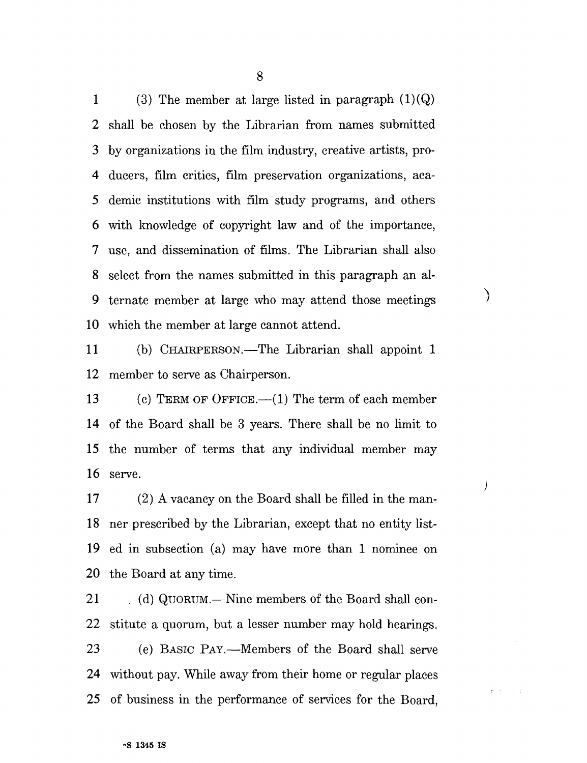1 (3) The member at large listed in paragraph  $(1)(Q)$ 2 shall be chosen by the Librarian from names submitted 3 by organizations in the film industry, creative artists, pro-4 ducers, film critics, film preservation organizations, aca-5 demic institutions with film study programs, and others 6 with knowledge of copyright law and of the importance, 7 use, and dissemination of films. The Librarian shall also 8 select from the names submitted in this paragraph an al-9 ternate member at large who may attend those meetings 10 which the member at large cannot attend.

11 (b) CHAIRPERSON.—The Librarian shall appoint 1 12 member to serve as Chairperson.

 $\mathcal{E}$ 

 $\overline{)}$ 

 $r \rightarrow$ 

13 (c) TERM OF OFFICE.—(1) The term of each member 14 of the Board shall be 3 years. There shall be no limit to 15 the number of terms that any individual member may 16 serve.

17 (2) A vacancy on the Board shall be filled in the man-18 ner prescribed by the Librarian, except that no entity list-19 ed in subsection (a) may have more than 1 nominee on 20 the Board at any time.

21 (d) QUORUM.—Nine members of the Board shall con-22 stitute a quorum, but a lesser number may hold hearings. 23 (e) BASIC PAY.—Members of the Board shall serve 24 without pay. While away from their home or regular places 25 of business in the performance of services for the Board,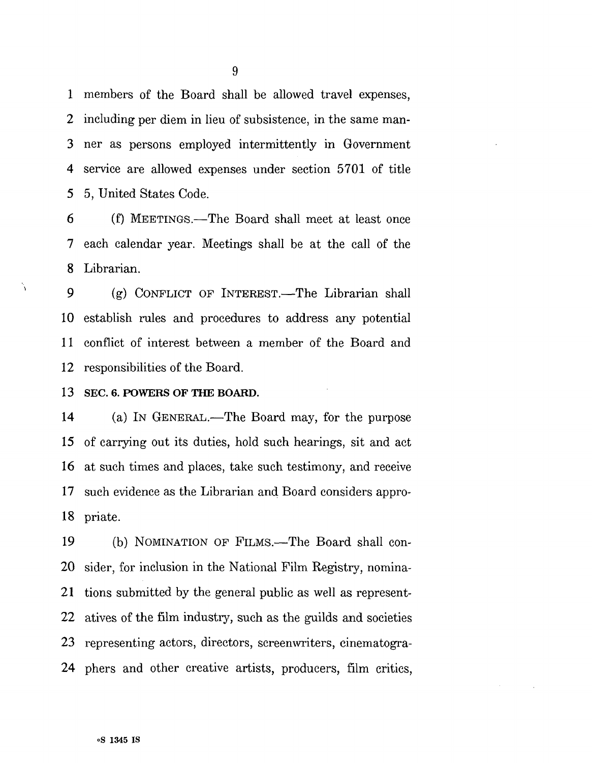1 members of the Board shall be allowed travel expenses, 2 including per diem in lieu of subsistence, in the same man-3 ner as persons employed intermittently in Government 4 service are allowed expenses under section 5701 of title 5 5, United States Code.

6 (f) MEETINGS.—The Board shall meet at least once 7 each calendar year. Meetings shall be at the call of the 8 Librarian.

9 (g) CONFLICT OF INTEREST.—The Librarian shall 10 establish rules and procedures to address any potential 11 conflict of interest between a member of the Board and 12 responsibilities of the Board.

13 SEC. 6. POWERS OF THE BOARD.

À

14 (a) IN GENERAL.—The Board may, for the purpose 15 of carrying out its duties, hold such hearings, sit and act 16 at such times and places, take such testimony, and receive 17 such evidence as the Librarian and Board considers appro-18 priate.

19 (b) NOMINATION OF FILMS.—The Board shall con-20 sider, for inclusion in the National Film Registry, nomina-21 tions submitted by the general public as well as represent-22 atives of the film industry, such as the guilds and societies 23 representing actors, directors, screenwriters, cinematogra-24 phers and other creative artists, producers, film critics,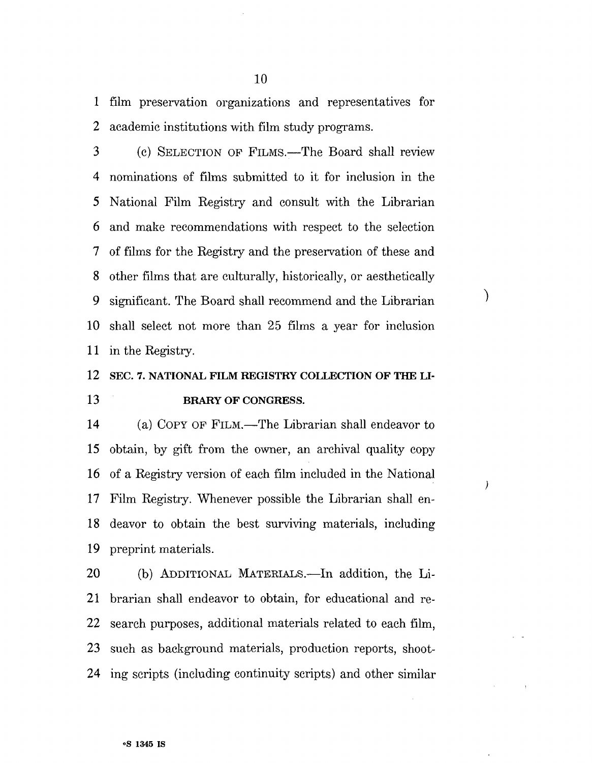1 film preservation organizations and representatives for 2 academic institutions with film study programs.

3 (c) SELECTION OP FILMS.—The Board shall review 4 nominations of films submitted to it for inclusion in the 5 National Film Registry and consult with the Librarian 6 and make recommendations with respect to the selection 7 of films for the Registry and the preservation of these and 8 other films that are culturally, historically, or aesthetically 9 significant. The Board shall recommend and the Librarian 10 shall select not more than 25 films a year for inclusion 11 in the Registry.

 $\mathcal{E}$ 

 $\lambda$ 

### 12 SEC. 7. NATIONAL FILM REGISTRY COLLECTION OF THE LI-13 BRARY OF CONGRESS.

14 (a) COPY OP FILM.—The Librarian shall endeavor to 15 obtain, by gift from the owner, an archival quality copy 16 of a Registry version of each film included in the National 17 Film Registry. Whenever possible the Librarian shall en-18 deavor to obtain the best surviving materials, including 19 preprint materials.

20 (b) ADDITIONAL MATERIALS.—In addition, the Li-21 brarian shall endeavor to obtain, for educational and re-22 search purposes, additional materials related to each film, 23 such as background materials, production reports, shoot-24 ing scripts (including continuity scripts) and other similar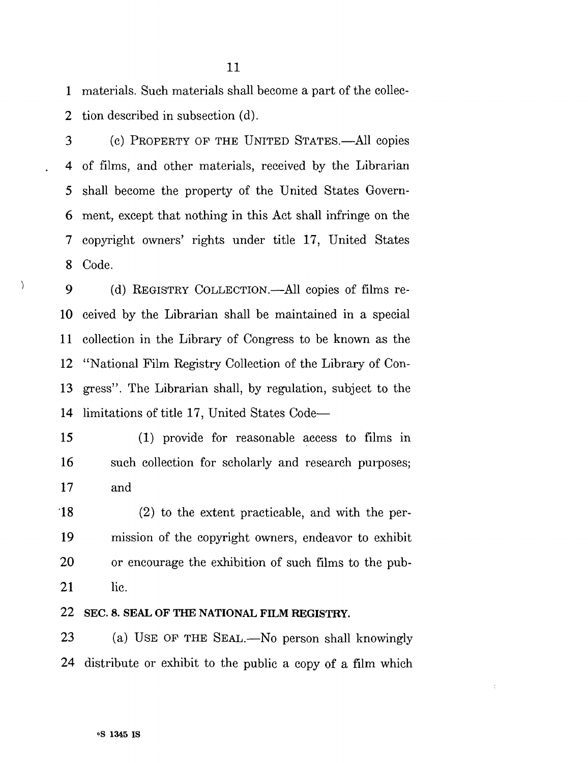1 materials. Such materials shall become a part of the collec-2 tion described in subsection (d).

3 (c) PROPERTY OF THE UNITED STATES.—All copies 4 of films, and other materials, received by the Librarian 5 shall become the property of the United States Govern-6 ment, except that nothing in this Act shall infringe on the 7 copyright owners' rights under title 17, United States 8 Code.

9 (d) REGISTRY COLLECTION.—All copies of films re-10 ceived by the Librarian shall be maintained in a special 11 collection in the Library of Congress to be known as the 12 "National Film Registry Collection of the Library of Con-13 gress". The Librarian shall, by regulation, subject to the 14 limitations of title 17, United States Code—

15 (1) provide for reasonable access to films in 16 such collection for scholarly and research purposes; 17 and

18 (2) to the extent practicable, and with the per-19 mission of the copyright owners, endeavor to exhibit 20 or encourage the exhibition of such films to the pub-21 lie.

### 22 SEC. 8. SEAL OF THE NATIONAL FILM REGISTRY.

23 (a) USE OP THE SEAL.—No person shall knowingly 24 distribute or exhibit to the public a copy of a film which

 $\lambda$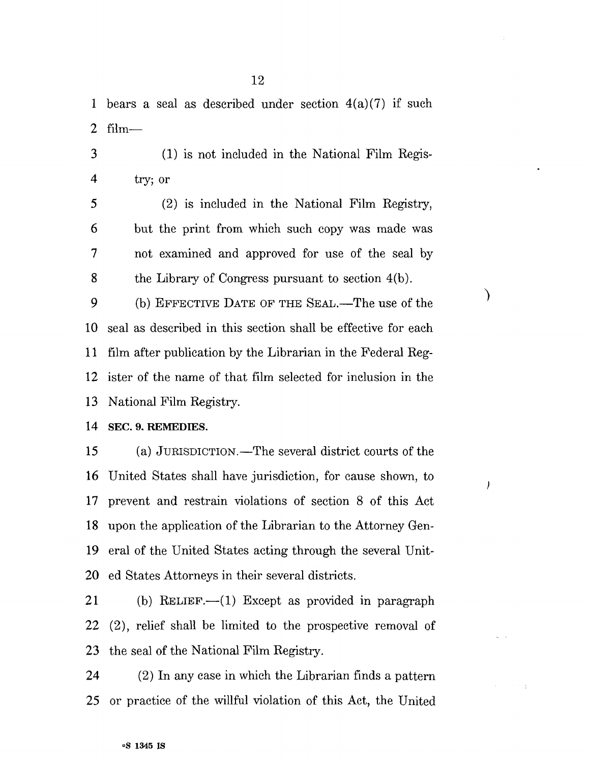1 bears a seal as described under section  $4(a)(7)$  if such 2 film—

3 (1) is not included in the National Film Regis-4 try; or

5 (2) is included in the National Film Registry, 6 but the print from which such copy was made was 7 not examined and approved for use of the seal by 8 the Library of Congress pursuant to section 4(b).

 $\lambda$ 

 $\prime$ 

9 (b) EFFECTIVE DATE OF THE SEAL.—The use of the 10 seal as described in this section shall be effective for each 11 film after publication by the Librarian in the Federal Reg-12 ister of the name of that film selected for inclusion in the 13 National Film Registry.

14 SEC. 9. REMEDIES.

15 (a) JURISDICTION.—The several district courts of the 16 United States shall have jurisdiction, for cause shown, to 17 prevent and restrain violations of section 8 of this Act 18 upon the application of the Librarian to the Attorney Gen-19 eral of the United States acting through the several Unit-20 ed States Attorneys in their several districts.

21 (b) RELIEF.—(1) Except as provided in paragraph 22 (2), relief shall be limited to the prospective removal of 23 the seal of the National Film Registry.

24 (2) In any case in which the Librarian finds a pattern 25 or practice of the willful violation of this Act, the United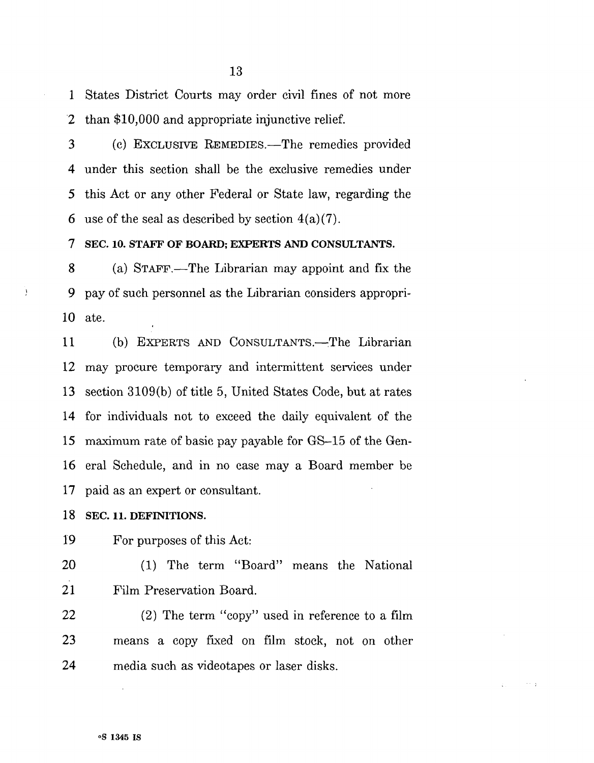1 States District Courts may order civil fines of not more 2 than \$10,000 and appropriate injunctive relief.

3 (c) EXCLUSIVE REMEDIES.—The remedies provided 4 under this section shall be the exclusive remedies under 5 this Act or any other Federal or State law, regarding the 6 use of the seal as described by section  $4(a)(7)$ .

7 SEC. 10. STAFF OF BOARD; EXPERTS AND CONSULTANTS.

8 (a) STAFF.—The Librarian may appoint and fix the 9 pay of such personnel as the Librarian considers appropri-10 ate.

11 (b) EXPERTS AND CONSULTANTS.—The Librarian 12 may procure temporary and intermittent services under 13 section 3109(b) of title 5, United States Code, but at rates 14 for individuals not to exceed the daily equivalent of the 15 maximum rate of basic pay payable for GS-15 of the Gen-16 eral Schedule, and in no case may a Board member be 17 paid as an expert or consultant.

### 18 SEC. 11. DEFINITIONS.

 $\cdot$ 

19 For purposes of this Act:

20 (1) The term "Board" means the National 21 Film Preservation Board.

22 (2) The term "copy" used in reference to a film 23 means a copy fixed on film stock, not on other 24 media such as videotapes or laser disks.

 $\sim$   $\sim$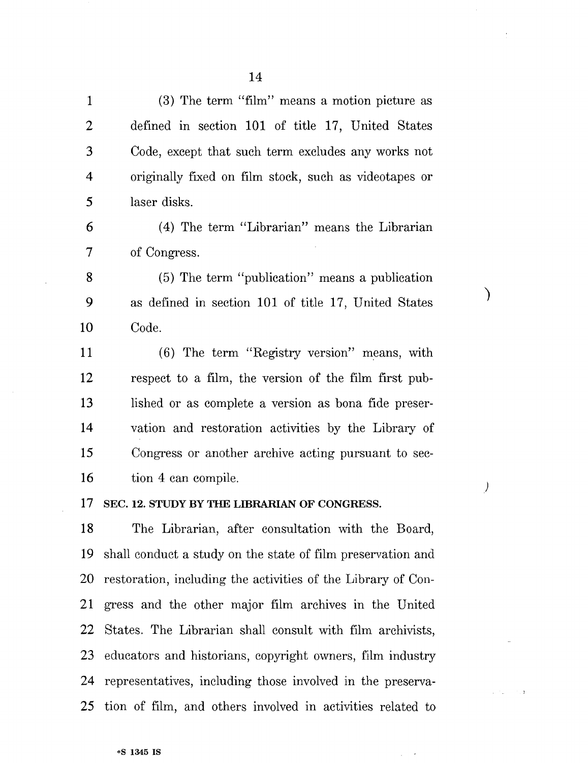1 (3) The term "film" means a motion picture as 2 defined in section 101 of title 17, United States 3 Code, except that such term excludes any works not 4 originally fixed on film stock, such as videotapes or 5 laser disks.

6 (4) The term "Librarian" means the Librarian 7 of Congress.

8 (5) The term "publication" means a publication 9 as defined in section 101 of title 17, United States 10 Code.

 $\mathcal{Y}$ 

 $\left\langle \right\rangle$ 

11 (6) The term "Registry version" means, with 12 respect to a film, the version of the film first pub-13 lished or as complete a version as bona fide preser-14 vation and restoration activities by the Library of 15 Congress or another archive acting pursuant to sec-16 tion 4 can compile.

#### 17 SEC. 12. STUDY BY THE LIBRARIAN OF CONGRESS.

18 The Librarian, after consultation with the Board, 19 shall conduct a study on the state of film preservation and 20 restoration, including the activities of the Library of Con-21 gress and the other major film archives in the United 22 States. The Librarian shall consult with film archivists, 23 educators and historians, copyright owners, film industry 24 representatives, including those involved in the preserva-25 tion of film, and others involved in activities related to